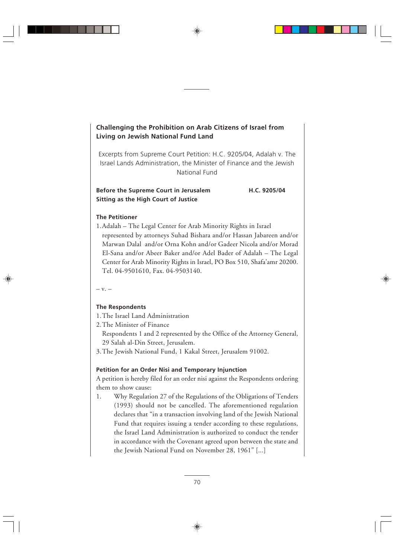# **Challenging the Prohibition on Arab Citizens of Israel from Living on Jewish National Fund Land**

Excerpts from Supreme Court Petition: H.C. 9205/04, Adalah v. The Israel Lands Administration, the Minister of Finance and the Jewish National Fund

**Before the Supreme Court in Jerusalem H.C. 9205/04 Sitting as the High Court of Justice**

## **The Petitioner**

1.Adalah – The Legal Center for Arab Minority Rights in Israel represented by attorneys Suhad Bishara and/or Hassan Jabareen and/or Marwan Dalal and/or Orna Kohn and/or Gadeer Nicola and/or Morad El-Sana and/or Abeer Baker and/or Adel Bader of Adalah – The Legal Center for Arab Minority Rights in Israel, PO Box 510, Shafa'amr 20200. Tel. 04-9501610, Fax. 04-9503140.

– v. –

## **The Respondents**

1.The Israel Land Administration

2.The Minister of Finance

- Respondents 1 and 2 represented by the Office of the Attorney General, 29 Salah al-Din Street, Jerusalem.
- 3.The Jewish National Fund, 1 Kakal Street, Jerusalem 91002.

## **Petition for an Order Nisi and Temporary Injunction**

A petition is hereby filed for an order nisi against the Respondents ordering them to show cause:

1. Why Regulation 27 of the Regulations of the Obligations of Tenders (1993) should not be cancelled. The aforementioned regulation declares that "in a transaction involving land of the Jewish National Fund that requires issuing a tender according to these regulations, the Israel Land Administration is authorized to conduct the tender in accordance with the Covenant agreed upon between the state and the Jewish National Fund on November 28, 1961" [...]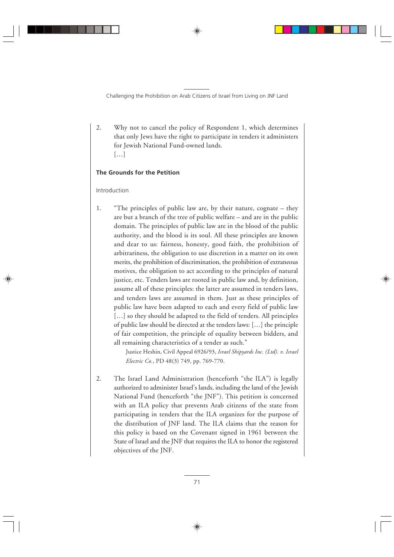2. Why not to cancel the policy of Respondent 1, which determines that only Jews have the right to participate in tenders it administers for Jewish National Fund-owned lands. […]

## **The Grounds for the Petition**

#### Introduction

1. "The principles of public law are, by their nature, cognate – they are but a branch of the tree of public welfare – and are in the public domain. The principles of public law are in the blood of the public authority, and the blood is its soul. All these principles are known and dear to us: fairness, honesty, good faith, the prohibition of arbitrariness, the obligation to use discretion in a matter on its own merits, the prohibition of discrimination, the prohibition of extraneous motives, the obligation to act according to the principles of natural justice, etc. Tenders laws are rooted in public law and, by definition, assume all of these principles: the latter are assumed in tenders laws, and tenders laws are assumed in them. Just as these principles of public law have been adapted to each and every field of public law [...] so they should be adapted to the field of tenders. All principles of public law should be directed at the tenders laws: […] the principle of fair competition, the principle of equality between bidders, and all remaining characteristics of a tender as such."

> Justice Heshin, Civil Appeal 6926/93, *Israel Shipyards Inc. (Ltd). v. Israel Electric Co.*, PD 48(3) 749, pp. 769-770.

2. The Israel Land Administration (henceforth "the ILA") is legally authorized to administer Israel's lands, including the land of the Jewish National Fund (henceforth "the JNF"). This petition is concerned with an ILA policy that prevents Arab citizens of the state from participating in tenders that the ILA organizes for the purpose of the distribution of JNF land. The ILA claims that the reason for this policy is based on the Covenant signed in 1961 between the State of Israel and the JNF that requires the ILA to honor the registered objectives of the JNF.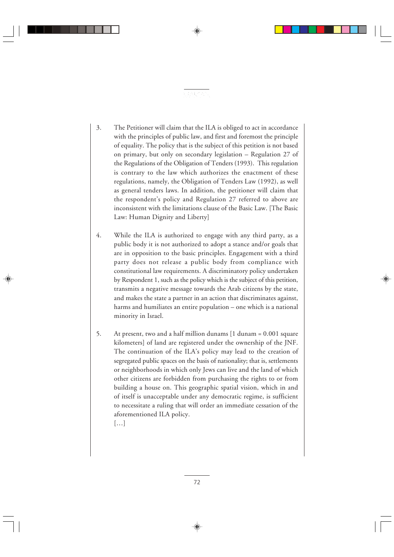3. The Petitioner will claim that the ILA is obliged to act in accordance with the principles of public law, and first and foremost the principle of equality. The policy that is the subject of this petition is not based on primary, but only on secondary legislation – Regulation 27 of the Regulations of the Obligation of Tenders (1993). This regulation is contrary to the law which authorizes the enactment of these regulations, namely, the Obligation of Tenders Law (1992), as well as general tenders laws. In addition, the petitioner will claim that the respondent's policy and Regulation 27 referred to above are inconsistent with the limitations clause of the Basic Law. [The Basic Law: Human Dignity and Liberty]

网络西哥哈哈

- 4. While the ILA is authorized to engage with any third party, as a public body it is not authorized to adopt a stance and/or goals that are in opposition to the basic principles. Engagement with a third party does not release a public body from compliance with constitutional law requirements. A discriminatory policy undertaken by Respondent 1, such as the policy which is the subject of this petition, transmits a negative message towards the Arab citizens by the state, and makes the state a partner in an action that discriminates against, harms and humiliates an entire population – one which is a national minority in Israel.
- 5. At present, two and a half million dunams [1 dunam = 0.001 square kilometers] of land are registered under the ownership of the JNF. The continuation of the ILA's policy may lead to the creation of segregated public spaces on the basis of nationality; that is, settlements or neighborhoods in which only Jews can live and the land of which other citizens are forbidden from purchasing the rights to or from building a house on. This geographic spatial vision, which in and of itself is unacceptable under any democratic regime, is sufficient to necessitate a ruling that will order an immediate cessation of the aforementioned ILA policy.

[…]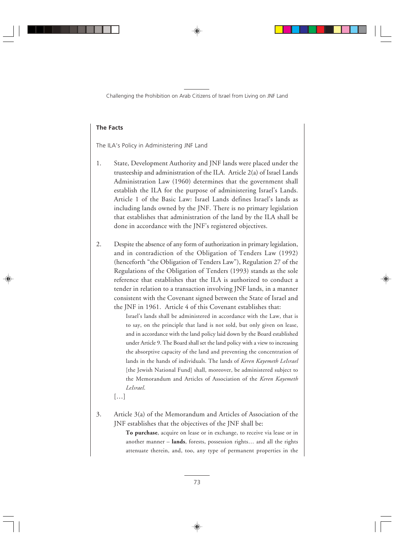## **The Facts**

The ILA's Policy in Administering JNF Land

- 1. State, Development Authority and JNF lands were placed under the trusteeship and administration of the ILA. Article 2(a) of Israel Lands Administration Law (1960) determines that the government shall establish the ILA for the purpose of administering Israel's Lands. Article 1 of the Basic Law: Israel Lands defines Israel's lands as including lands owned by the JNF. There is no primary legislation that establishes that administration of the land by the ILA shall be done in accordance with the JNF's registered objectives.
- 2. Despite the absence of any form of authorization in primary legislation, and in contradiction of the Obligation of Tenders Law (1992) (henceforth "the Obligation of Tenders Law"), Regulation 27 of the Regulations of the Obligation of Tenders (1993) stands as the sole reference that establishes that the ILA is authorized to conduct a tender in relation to a transaction involving JNF lands, in a manner consistent with the Covenant signed between the State of Israel and the JNF in 1961. Article 4 of this Covenant establishes that:

Israel's lands shall be administered in accordance with the Law, that is to say, on the principle that land is not sold, but only given on lease, and in accordance with the land policy laid down by the Board established under Article 9. The Board shall set the land policy with a view to increasing the absorptive capacity of the land and preventing the concentration of lands in the hands of individuals. The lands of *Keren Kayemeth LeIsrael* [the Jewish National Fund] shall, moreover, be administered subject to the Memorandum and Articles of Association of the *Keren Kayemeth LeIsrael*.

[…]

3. Article 3(a) of the Memorandum and Articles of Association of the JNF establishes that the objectives of the JNF shall be:

> **To purchase**, acquire on lease or in exchange, to receive via lease or in another manner – **lands**, forests, possession rights… and all the rights attenuate therein, and, too, any type of permanent properties in the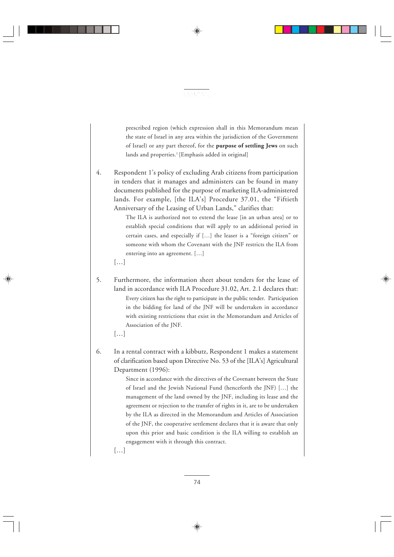

prescribed region (which expression shall in this Memorandum mean the state of Israel in any area within the jurisdiction of the Government of Israel) or any part thereof, for the **purpose of settling Jews** on such lands and properties.<sup>1</sup> [Emphasis added in original]

4. Respondent 1's policy of excluding Arab citizens from participation in tenders that it manages and administers can be found in many documents published for the purpose of marketing ILA-administered lands. For example, [the ILA's] Procedure 37.01, the "Fiftieth Anniversary of the Leasing of Urban Lands," clarifies that:

> The ILA is authorized not to extend the lease [in an urban area] or to establish special conditions that will apply to an additional period in certain cases, and especially if […] the leaser is a "foreign citizen" or someone with whom the Covenant with the JNF restricts the ILA from entering into an agreement. […]

[…]

5. Furthermore, the information sheet about tenders for the lease of land in accordance with ILA Procedure 31.02, Art. 2.1 declares that: Every citizen has the right to participate in the public tender. Participation in the bidding for land of the JNF will be undertaken in accordance with existing restrictions that exist in the Memorandum and Articles of Association of the JNF.

[…]

6. In a rental contract with a kibbutz, Respondent 1 makes a statement of clarification based upon Directive No. 53 of the [ILA's] Agricultural Department (1996):

> Since in accordance with the directives of the Covenant between the State of Israel and the Jewish National Fund (henceforth the JNF) […] the management of the land owned by the JNF, including its lease and the agreement or rejection to the transfer of rights in it, are to be undertaken by the ILA as directed in the Memorandum and Articles of Association of the JNF, the cooperative settlement declares that it is aware that only upon this prior and basic condition is the ILA willing to establish an engagement with it through this contract.

[…]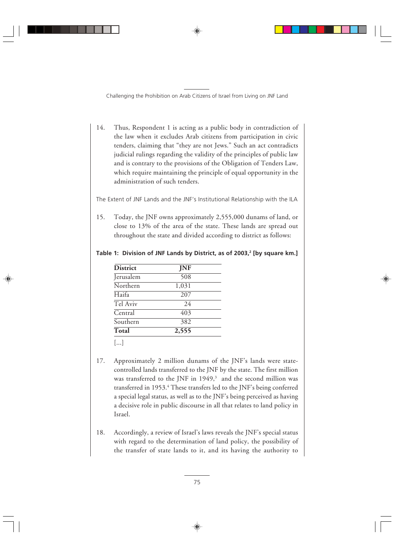14. Thus, Respondent 1 is acting as a public body in contradiction of the law when it excludes Arab citizens from participation in civic tenders, claiming that "they are not Jews." Such an act contradicts judicial rulings regarding the validity of the principles of public law and is contrary to the provisions of the Obligation of Tenders Law, which require maintaining the principle of equal opportunity in the administration of such tenders.

The Extent of JNF Lands and the JNF's Institutional Relationship with the ILA

15. Today, the JNF owns approximately 2,555,000 dunams of land, or close to 13% of the area of the state. These lands are spread out throughout the state and divided according to district as follows:

Table 1: Division of JNF Lands by District, as of 2003,<sup>2</sup> [by square km.]

| <b>District</b> | <b>JNF</b> |  |
|-----------------|------------|--|
| Jerusalem       | 508        |  |
| Northern        | 1,031      |  |
| Haifa           | 207        |  |
| Tel Aviv        | 24         |  |
| Central         | 403        |  |
| Southern        | 382        |  |
| Total           | 2,555      |  |
|                 |            |  |

[...]

- 17. Approximately 2 million dunams of the JNF's lands were statecontrolled lands transferred to the JNF by the state. The first million was transferred to the JNF in  $1949$ ,<sup>3</sup> and the second million was transferred in 1953.<sup>4</sup> These transfers led to the JNF's being conferred a special legal status, as well as to the JNF's being perceived as having a decisive role in public discourse in all that relates to land policy in Israel.
- 18. Accordingly, a review of Israel's laws reveals the JNF's special status with regard to the determination of land policy, the possibility of the transfer of state lands to it, and its having the authority to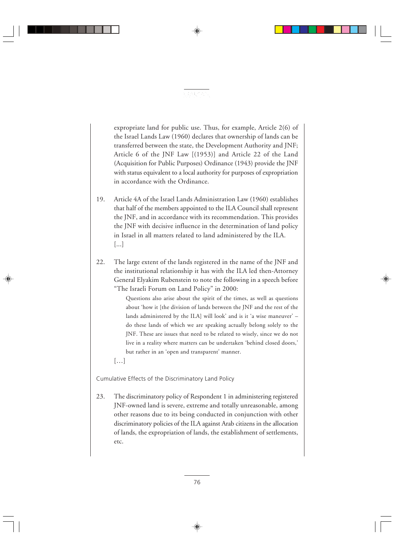expropriate land for public use. Thus, for example, Article 2(6) of the Israel Lands Law (1960) declares that ownership of lands can be transferred between the state, the Development Authority and JNF; Article 6 of the JNF Law [(1953)] and Article 22 of the Land (Acquisition for Public Purposes) Ordinance (1943) provide the JNF with status equivalent to a local authority for purposes of expropriation in accordance with the Ordinance.

网络电子名

- 19. Article 4A of the Israel Lands Administration Law (1960) establishes that half of the members appointed to the ILA Council shall represent the JNF, and in accordance with its recommendation. This provides the JNF with decisive influence in the determination of land policy in Israel in all matters related to land administered by the ILA. [...]
- 22. The large extent of the lands registered in the name of the JNF and the institutional relationship it has with the ILA led then-Attorney General Elyakim Rubenstein to note the following in a speech before "The Israeli Forum on Land Policy" in 2000:

Questions also arise about the spirit of the times, as well as questions about 'how it [the division of lands between the JNF and the rest of the lands administered by the ILA] will look' and is it 'a wise maneuver' – do these lands of which we are speaking actually belong solely to the JNF. These are issues that need to be related to wisely, since we do not live in a reality where matters can be undertaken 'behind closed doors,' but rather in an 'open and transparent' manner.

[…]

Cumulative Effects of the Discriminatory Land Policy

23. The discriminatory policy of Respondent 1 in administering registered JNF-owned land is severe, extreme and totally unreasonable, among other reasons due to its being conducted in conjunction with other discriminatory policies of the ILA against Arab citizens in the allocation of lands, the expropriation of lands, the establishment of settlements, etc.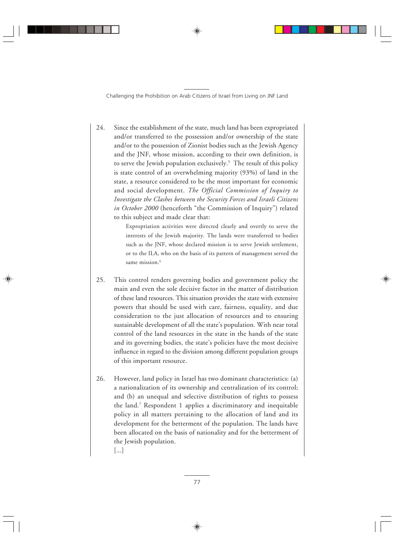24. Since the establishment of the state, much land has been expropriated and/or transferred to the possession and/or ownership of the state and/or to the possession of Zionist bodies such as the Jewish Agency and the JNF, whose mission, according to their own definition, is to serve the Jewish population exclusively.<sup>5</sup> The result of this policy is state control of an overwhelming majority (93%) of land in the state, a resource considered to be the most important for economic and social development. *The Official Commission of Inquiry to Investigate the Clashes between the Security Forces and Israeli Citizens in October 2000* (henceforth "the Commission of Inquiry") related to this subject and made clear that:

> Expropriation activities were directed clearly and overtly to serve the interests of the Jewish majority. The lands were transferred to bodies such as the JNF, whose declared mission is to serve Jewish settlement, or to the ILA, who on the basis of its pattern of management served the same mission.<sup>6</sup>

- 25. This control renders governing bodies and government policy the main and even the sole decisive factor in the matter of distribution of these land resources. This situation provides the state with extensive powers that should be used with care, fairness, equality, and due consideration to the just allocation of resources and to ensuring sustainable development of all the state's population. With near total control of the land resources in the state in the hands of the state and its governing bodies, the state's policies have the most decisive influence in regard to the division among different population groups of this important resource.
- 26. However, land policy in Israel has two dominant characteristics: (a) a nationalization of its ownership and centralization of its control; and (b) an unequal and selective distribution of rights to possess the land.7 Respondent 1 applies a discriminatory and inequitable policy in all matters pertaining to the allocation of land and its development for the betterment of the population. The lands have been allocated on the basis of nationality and for the betterment of the Jewish population. [...]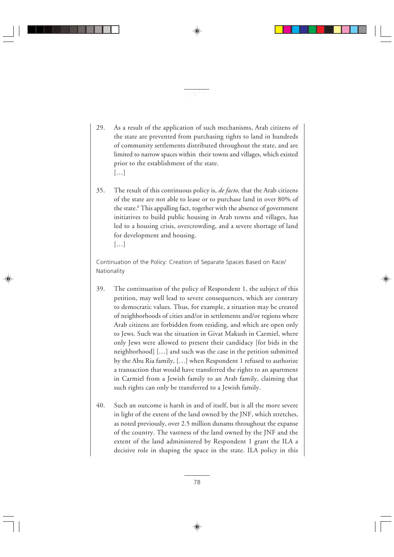29. As a result of the application of such mechanisms, Arab citizens of the state are prevented from purchasing rights to land in hundreds of community settlements distributed throughout the state, and are limited to narrow spaces within their towns and villages, which existed prior to the establishment of the state. […]

网络电子名

35. The result of this continuous policy is, *de facto*, that the Arab citizens of the state are not able to lease or to purchase land in over 80% of the state.<sup>8</sup> This appalling fact, together with the absence of government initiatives to build public housing in Arab towns and villages, has led to a housing crisis, overcrowding, and a severe shortage of land for development and housing. […]

Continuation of the Policy: Creation of Separate Spaces Based on Race/ Nationality

- 39. The continuation of the policy of Respondent 1, the subject of this petition, may well lead to severe consequences, which are contrary to democratic values. Thus, for example, a situation may be created of neighborhoods of cities and/or in settlements and/or regions where Arab citizens are forbidden from residing, and which are open only to Jews. Such was the situation in Givat Makush in Carmiel, where only Jews were allowed to present their candidacy [for bids in the neighborhood] […] and such was the case in the petition submitted by the Abu Ria family, […] when Respondent 1 refused to authorize a transaction that would have transferred the rights to an apartment in Carmiel from a Jewish family to an Arab family, claiming that such rights can only be transferred to a Jewish family.
- 40. Such an outcome is harsh in and of itself, but is all the more severe in light of the extent of the land owned by the JNF, which stretches, as noted previously, over 2.5 million dunams throughout the expanse of the country. The vastness of the land owned by the JNF and the extent of the land administered by Respondent 1 grant the ILA a decisive role in shaping the space in the state. ILA policy in this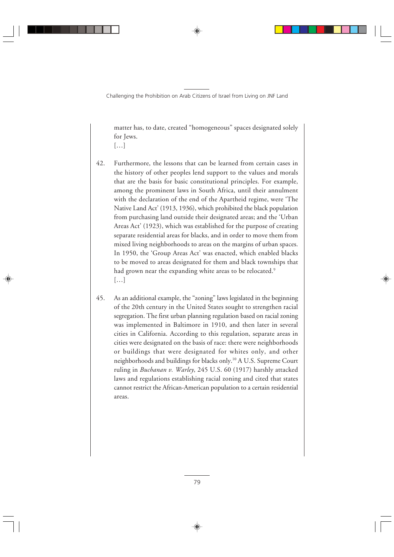matter has, to date, created "homogeneous" spaces designated solely for Jews.

- […]
- 42. Furthermore, the lessons that can be learned from certain cases in the history of other peoples lend support to the values and morals that are the basis for basic constitutional principles. For example, among the prominent laws in South Africa, until their annulment with the declaration of the end of the Apartheid regime, were 'The Native Land Act' (1913, 1936), which prohibited the black population from purchasing land outside their designated areas; and the 'Urban Areas Act' (1923), which was established for the purpose of creating separate residential areas for blacks, and in order to move them from mixed living neighborhoods to areas on the margins of urban spaces. In 1950, the 'Group Areas Act' was enacted, which enabled blacks to be moved to areas designated for them and black townships that had grown near the expanding white areas to be relocated.<sup>9</sup> […]
- 45. As an additional example, the "zoning" laws legislated in the beginning of the 20th century in the United States sought to strengthen racial segregation. The first urban planning regulation based on racial zoning was implemented in Baltimore in 1910, and then later in several cities in California. According to this regulation, separate areas in cities were designated on the basis of race: there were neighborhoods or buildings that were designated for whites only, and other neighborhoods and buildings for blacks only.10 A U.S. Supreme Court ruling in *Buchanan v. Warley*, 245 U.S. 60 (1917) harshly attacked laws and regulations establishing racial zoning and cited that states cannot restrict the African-American population to a certain residential areas.